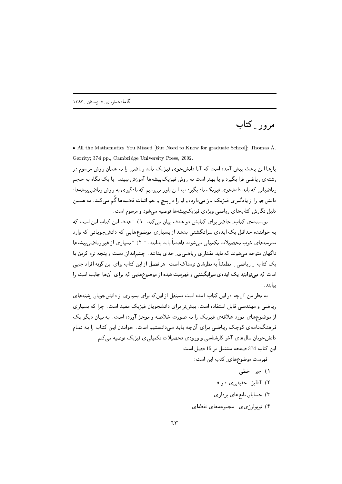مرور ِ کتاب

• All the Mathematics You Missed [But Need to Know for graduate School]; Thomas A. Garrity; 374 pp., Cambridge University Press, 2002.

.<br>بارها این بحث پیش آمده است که آیا دانشجوی فیزیک باید ریاضیی را به همان روش مرسوم در رشته ی ریاضی فرا بگیرد و یا بهتر است به روش فیزیک پیشهها آموزش ببیند. با یک نگاه به حجم ریاضیاتی که باید دانشجوی فیزیک یاد بگیرد، به این باور میرسیم که یادگیری به روش ریاض<u>ی پ</u>یشهها، دانشجو را از یادگیری فیزیک باز میدارد، و او را در پیچ و خم اثبات قضیهها گُم میکند. به همین دلیل نگارش کتابهای ریاضی ویژهی فیزیکپیشهها توصیه میشود و مرسوم است.

نویسندهی کتاب ِ حاضر برای کتابش دو هدف بیان می کند: ۱) " هدف این کتاب این است که به خواننده حداقل یک ایدهی سرانگشتی بدهد از بسیاری موضوعهایی که دانش جویانی که وارد مدرسههای خوب تحصیلات تکمیلی می شوند قاعدتاً باید بدانند. " ۲) "بسیاری از غیر ریاضی پیشهها ناگهان متوجه می شوند که باید مقداری ریاضی ی ِ جدی بدانند. چشمانداز ِ دست و پنجه نرم کردن با یک کتاب [ ریاضی ] مطمئناً به نظرشان ترسناک است. هر فصل از این کتاب برای این گونه افراد جایی است که میتوانند یک ایدهی سرانگشتی و فهرست شده از موضوعهایی که برای آنها جالب است را بيابند. "

به نظر من آنچه در این کتاب آمده است مستقل از این که برای بسیاری از دانش جویان رشتههای ریاضی و مهندسی قابل استفاده است، بیش تر برای دانشجویان فیزیک مفید است. چرا که بسیاری از موضوعهای مورد علاقهی فیزیک را به صورت خلاصه و موجز آورده است. به بیان دیگر یک .<br>فرهنگنامه ی کوچک ریاضی برای آنچه باید میدانستیم است. خواندن این کتاب را به تمام دانشجویان سال،های آخر کارشناسی و ورودی تحصیلات تکمیلیی فیزیک توصیه می کنم. این کتاب 374 صفحه مشتمل بر 15 فصل است.

فهرست موضوعهای ِ کتاب این است:

- ١) جين خطي
- $\delta$ ) آنالیز ِ حقیقی $\epsilon$ ی  $\epsilon$  و
- ۳) حسابان تابعهای برداری
- ۴) توپولوژی ی مجموعههای نقطهای